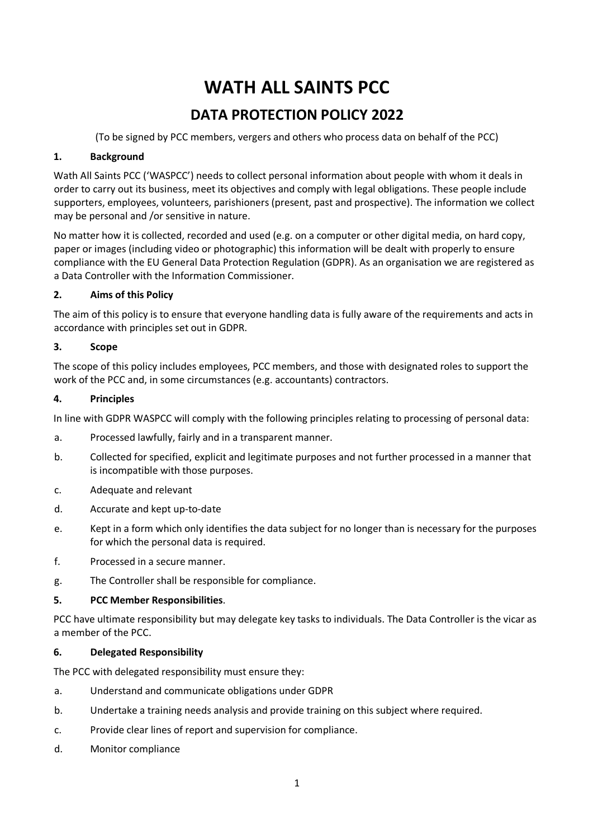# **WATH ALL SAINTS PCC**

# **DATA PROTECTION POLICY 2022**

(To be signed by PCC members, vergers and others who process data on behalf of the PCC)

# **1. Background**

Wath All Saints PCC ('WASPCC') needs to collect personal information about people with whom it deals in order to carry out its business, meet its objectives and comply with legal obligations. These people include supporters, employees, volunteers, parishioners (present, past and prospective). The information we collect may be personal and /or sensitive in nature.

No matter how it is collected, recorded and used (e.g. on a computer or other digital media, on hard copy, paper or images (including video or photographic) this information will be dealt with properly to ensure compliance with the EU General Data Protection Regulation (GDPR). As an organisation we are registered as a Data Controller with the Information Commissioner.

# **2. Aims of this Policy**

The aim of this policy is to ensure that everyone handling data is fully aware of the requirements and acts in accordance with principles set out in GDPR.

# **3. Scope**

The scope of this policy includes employees, PCC members, and those with designated roles to support the work of the PCC and, in some circumstances (e.g. accountants) contractors.

# **4. Principles**

In line with GDPR WASPCC will comply with the following principles relating to processing of personal data:

- a. Processed lawfully, fairly and in a transparent manner.
- b. Collected for specified, explicit and legitimate purposes and not further processed in a manner that is incompatible with those purposes.
- c. Adequate and relevant
- d. Accurate and kept up-to-date
- e. Kept in a form which only identifies the data subject for no longer than is necessary for the purposes for which the personal data is required.
- f. Processed in a secure manner.
- g. The Controller shall be responsible for compliance.

# **5. PCC Member Responsibilities**.

PCC have ultimate responsibility but may delegate key tasks to individuals. The Data Controller is the vicar as a member of the PCC.

#### **6. Delegated Responsibility**

The PCC with delegated responsibility must ensure they:

- a. Understand and communicate obligations under GDPR
- b. Undertake a training needs analysis and provide training on this subject where required.
- c. Provide clear lines of report and supervision for compliance.
- d. Monitor compliance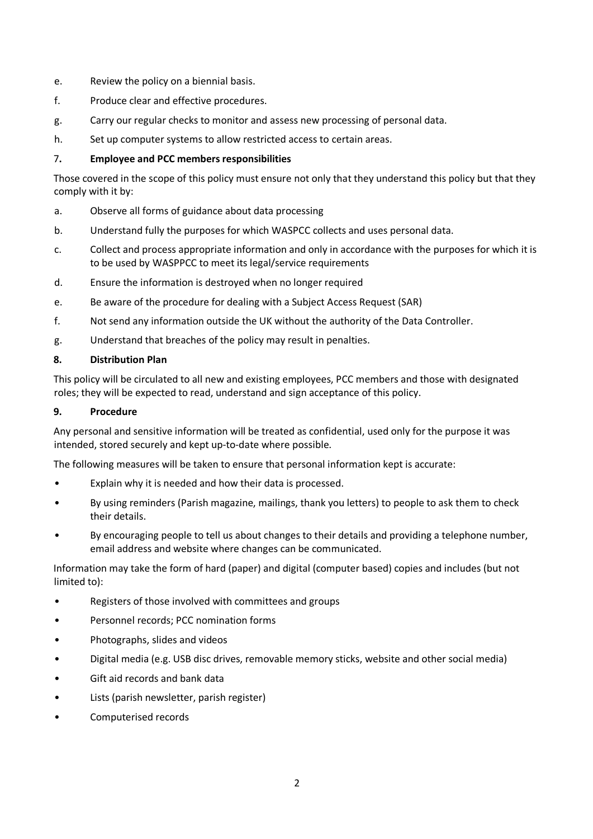- e. Review the policy on a biennial basis.
- f. Produce clear and effective procedures.
- g. Carry our regular checks to monitor and assess new processing of personal data.
- h. Set up computer systems to allow restricted access to certain areas.

#### 7**. Employee and PCC members responsibilities**

Those covered in the scope of this policy must ensure not only that they understand this policy but that they comply with it by:

- a. Observe all forms of guidance about data processing
- b. Understand fully the purposes for which WASPCC collects and uses personal data.
- c. Collect and process appropriate information and only in accordance with the purposes for which it is to be used by WASPPCC to meet its legal/service requirements
- d. Ensure the information is destroyed when no longer required
- e. Be aware of the procedure for dealing with a Subject Access Request (SAR)
- f. Not send any information outside the UK without the authority of the Data Controller.
- g. Understand that breaches of the policy may result in penalties.

#### **8. Distribution Plan**

This policy will be circulated to all new and existing employees, PCC members and those with designated roles; they will be expected to read, understand and sign acceptance of this policy.

#### **9. Procedure**

Any personal and sensitive information will be treated as confidential, used only for the purpose it was intended, stored securely and kept up-to-date where possible.

The following measures will be taken to ensure that personal information kept is accurate:

- Explain why it is needed and how their data is processed.
- By using reminders (Parish magazine, mailings, thank you letters) to people to ask them to check their details.
- By encouraging people to tell us about changes to their details and providing a telephone number, email address and website where changes can be communicated.

Information may take the form of hard (paper) and digital (computer based) copies and includes (but not limited to):

- Registers of those involved with committees and groups
- Personnel records; PCC nomination forms
- Photographs, slides and videos
- Digital media (e.g. USB disc drives, removable memory sticks, website and other social media)
- Gift aid records and bank data
- Lists (parish newsletter, parish register)
- Computerised records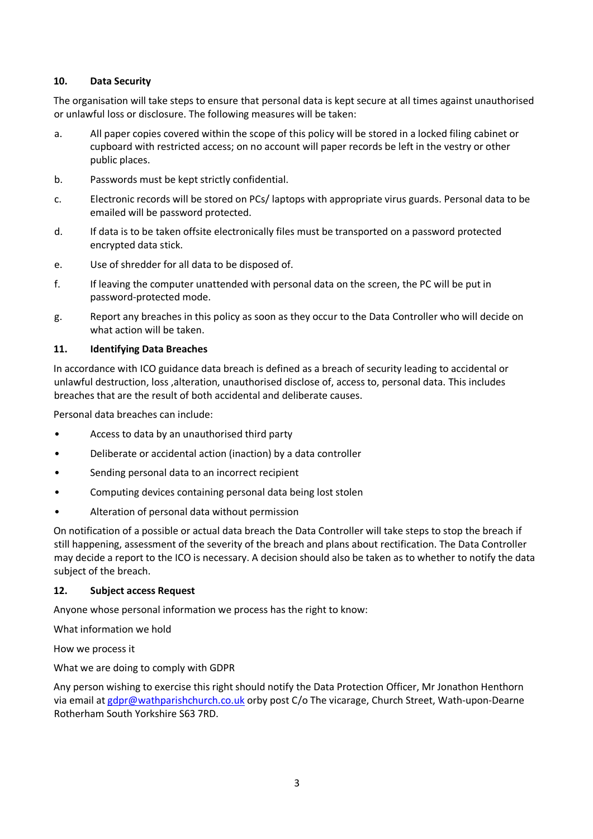#### **10. Data Security**

The organisation will take steps to ensure that personal data is kept secure at all times against unauthorised or unlawful loss or disclosure. The following measures will be taken:

- a. All paper copies covered within the scope of this policy will be stored in a locked filing cabinet or cupboard with restricted access; on no account will paper records be left in the vestry or other public places.
- b. Passwords must be kept strictly confidential.
- c. Electronic records will be stored on PCs/ laptops with appropriate virus guards. Personal data to be emailed will be password protected.
- d. If data is to be taken offsite electronically files must be transported on a password protected encrypted data stick.
- e. Use of shredder for all data to be disposed of.
- f. If leaving the computer unattended with personal data on the screen, the PC will be put in password-protected mode.
- g. Report any breaches in this policy as soon as they occur to the Data Controller who will decide on what action will be taken.

#### **11. Identifying Data Breaches**

In accordance with ICO guidance data breach is defined as a breach of security leading to accidental or unlawful destruction, loss ,alteration, unauthorised disclose of, access to, personal data. This includes breaches that are the result of both accidental and deliberate causes.

Personal data breaches can include:

- Access to data by an unauthorised third party
- Deliberate or accidental action (inaction) by a data controller
- Sending personal data to an incorrect recipient
- Computing devices containing personal data being lost stolen
- Alteration of personal data without permission

On notification of a possible or actual data breach the Data Controller will take steps to stop the breach if still happening, assessment of the severity of the breach and plans about rectification. The Data Controller may decide a report to the ICO is necessary. A decision should also be taken as to whether to notify the data subject of the breach.

#### **12. Subject access Request**

Anyone whose personal information we process has the right to know:

What information we hold

How we process it

What we are doing to comply with GDPR

Any person wishing to exercise this right should notify the Data Protection Officer, Mr Jonathon Henthorn via email at gdpr@wathparishchurch.co.uk orby post C/o The vicarage, Church Street, Wath-upon-Dearne Rotherham South Yorkshire S63 7RD.